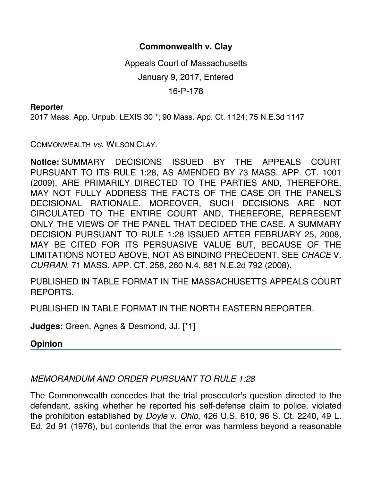## **Commonwealth v. Clay**

Appeals Court of Massachusetts January 9, 2017, Entered

16-P-178

## **Reporter**

2017 Mass. App. Unpub. LEXIS 30 \*; 90 Mass. App. Ct. 1124; 75 N.E.3d 1147

COMMONWEALTH *vs*. WILSON CLAY.

**Notice:** SUMMARY DECISIONS ISSUED BY THE APPEALS COURT PURSUANT TO ITS RULE 1:28, AS AMENDED BY 73 MASS. APP. CT. 1001 (2009), ARE PRIMARILY DIRECTED TO THE PARTIES AND, THEREFORE, MAY NOT FULLY ADDRESS THE FACTS OF THE CASE OR THE PANEL'S DECISIONAL RATIONALE. MOREOVER, SUCH DECISIONS ARE NOT CIRCULATED TO THE ENTIRE COURT AND, THEREFORE, REPRESENT ONLY THE VIEWS OF THE PANEL THAT DECIDED THE CASE. A SUMMARY DECISION PURSUANT TO RULE 1:28 ISSUED AFTER FEBRUARY 25, 2008, MAY BE CITED FOR ITS PERSUASIVE VALUE BUT, BECAUSE OF THE LIMITATIONS NOTED ABOVE, NOT AS BINDING PRECEDENT. SEE *CHACE* V. *CURRAN*, 71 MASS. APP. CT. 258, 260 N.4, 881 N.E.2d 792 (2008).

PUBLISHED IN TABLE FORMAT IN THE MASSACHUSETTS APPEALS COURT REPORTS.

PUBLISHED IN TABLE FORMAT IN THE NORTH EASTERN REPORTER.

**Judges:** Green, Agnes & Desmond, JJ. [\*1]

**Opinion**

## *MEMORANDUM AND ORDER PURSUANT TO RULE 1:28*

The Commonwealth concedes that the trial prosecutor's question directed to the defendant, asking whether he reported his self-defense claim to police, violated the prohibition established by *Doyle* v. *Ohio*, 426 U.S. 610, 96 S. Ct. 2240, 49 L. Ed. 2d 91 (1976), but contends that the error was harmless beyond a reasonable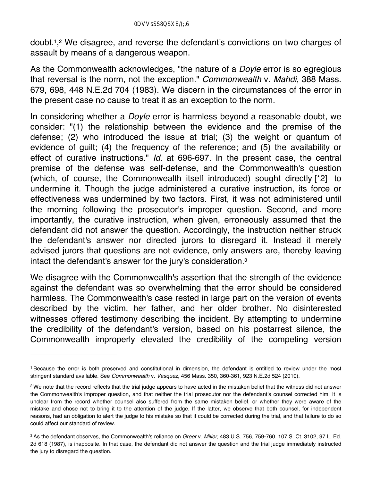doubt.1,2 We disagree, and reverse the defendant's convictions on two charges of assault by means of a dangerous weapon.

As the Commonwealth acknowledges, "the nature of a *Doyle* error is so egregious that reversal is the norm, not the exception." *Commonwealth* v. *Mahdi*, 388 Mass. 679, 698, 448 N.E.2d 704 (1983). We discern in the circumstances of the error in the present case no cause to treat it as an exception to the norm.

In considering whether a *Doyle* error is harmless beyond a reasonable doubt, we consider: "(1) the relationship between the evidence and the premise of the defense; (2) who introduced the issue at trial; (3) the weight or quantum of evidence of guilt; (4) the frequency of the reference; and (5) the availability or effect of curative instructions." *Id.* at 696-697. In the present case, the central premise of the defense was self-defense, and the Commonwealth's question (which, of course, the Commonwealth itself introduced) sought directly [\*2] to undermine it. Though the judge administered a curative instruction, its force or effectiveness was undermined by two factors. First, it was not administered until the morning following the prosecutor's improper question. Second, and more importantly, the curative instruction, when given, erroneously assumed that the defendant did not answer the question. Accordingly, the instruction neither struck the defendant's answer nor directed jurors to disregard it. Instead it merely advised jurors that questions are not evidence, only answers are, thereby leaving intact the defendant's answer for the jury's consideration.3

We disagree with the Commonwealth's assertion that the strength of the evidence against the defendant was so overwhelming that the error should be considered harmless. The Commonwealth's case rested in large part on the version of events described by the victim, her father, and her older brother. No disinterested witnesses offered testimony describing the incident. By attempting to undermine the credibility of the defendant's version, based on his postarrest silence, the Commonwealth improperly elevated the credibility of the competing version

<sup>1</sup> Because the error is both preserved and constitutional in dimension, the defendant is entitled to review under the most stringent standard available. See *Commonwealth* v. *Vasquez*, 456 Mass. 350, 360-361, 923 N.E.2d 524 (2010).

<sup>&</sup>lt;sup>2</sup> We note that the record reflects that the trial judge appears to have acted in the mistaken belief that the witness did not answer the Commonwealth's improper question, and that neither the trial prosecutor nor the defendant's counsel corrected him. It is unclear from the record whether counsel also suffered from the same mistaken belief, or whether they were aware of the mistake and chose not to bring it to the attention of the judge. If the latter, we observe that both counsel, for independent reasons, had an obligation to alert the judge to his mistake so that it could be corrected during the trial, and that failure to do so could affect our standard of review.

<sup>3</sup> As the defendant observes, the Commonwealth's reliance on *Greer* v. *Miller*, 483 U.S. 756, 759-760, 107 S. Ct. 3102, 97 L. Ed. 2d 618 (1987), is inapposite. In that case, the defendant did not answer the question and the trial judge immediately instructed the jury to disregard the question.